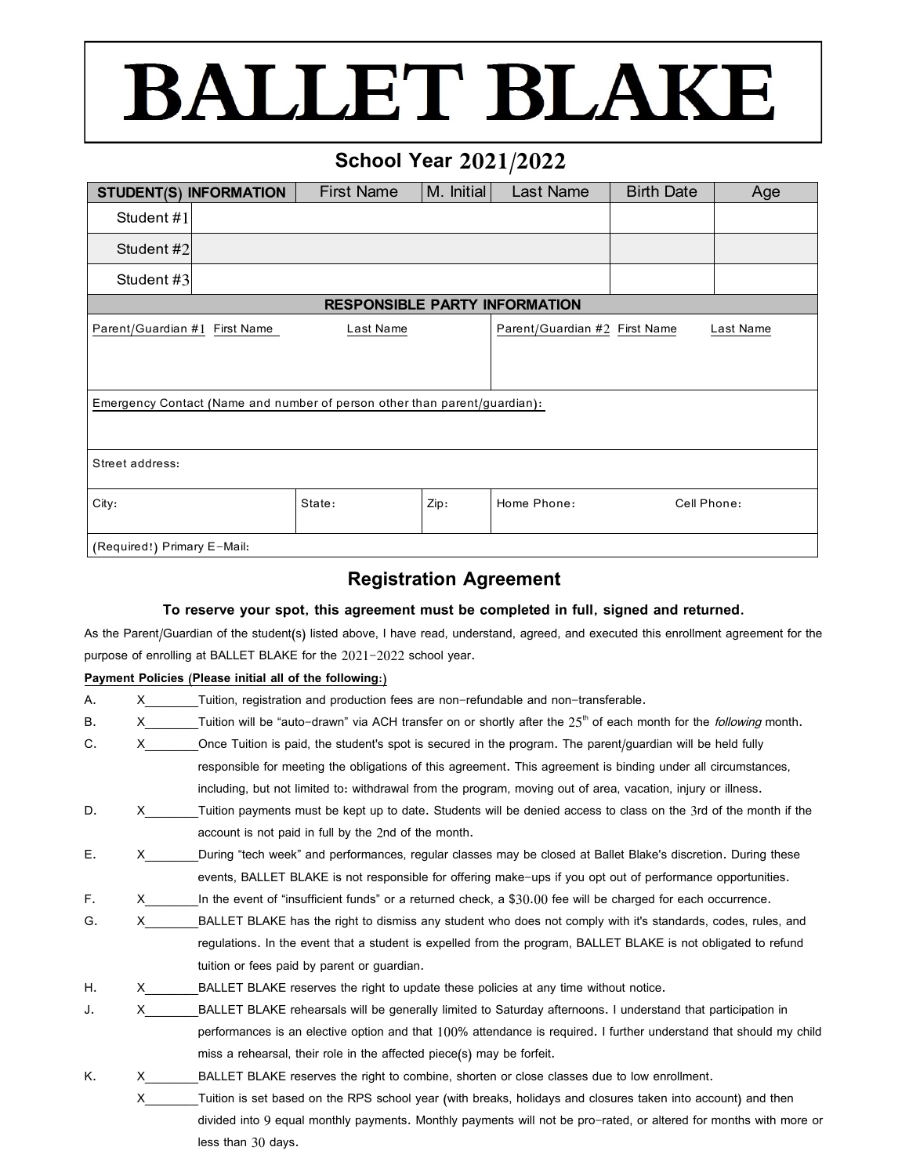## **BALLET BLAKE**

### **School Year 2021/2022**

| <b>STUDENT(S) INFORMATION</b>                                             |  | <b>First Name</b> | M. Initial | Last Name                     | <b>Birth Date</b> | Age       |  |
|---------------------------------------------------------------------------|--|-------------------|------------|-------------------------------|-------------------|-----------|--|
| Student #1                                                                |  |                   |            |                               |                   |           |  |
| Student #2                                                                |  |                   |            |                               |                   |           |  |
| Student #3                                                                |  |                   |            |                               |                   |           |  |
| <b>RESPONSIBLE PARTY INFORMATION</b>                                      |  |                   |            |                               |                   |           |  |
| Parent/Guardian #1 First Name                                             |  | Last Name         |            | Parent/Guardian #2 First Name |                   | Last Name |  |
|                                                                           |  |                   |            |                               |                   |           |  |
|                                                                           |  |                   |            |                               |                   |           |  |
| Emergency Contact (Name and number of person other than parent/guardian): |  |                   |            |                               |                   |           |  |
|                                                                           |  |                   |            |                               |                   |           |  |
|                                                                           |  |                   |            |                               |                   |           |  |
| Street address:                                                           |  |                   |            |                               |                   |           |  |
| City:                                                                     |  | State:            | Zip:       | Home Phone:                   | Cell Phone:       |           |  |
|                                                                           |  |                   |            |                               |                   |           |  |
| (Required!) Primary E-Mail:                                               |  |                   |            |                               |                   |           |  |

### **Registration Agreement**

#### **To reserve your spot, this agreement must be completed in full, signed and returned.**

As the Parent/Guardian of the student(s) listed above, I have read, understand, agreed, and executed this enrollment agreement for the purpose of enrolling at BALLET BLAKE for the 2021-2022 school year.

#### **Payment Policies (Please initial all of the following:)**

| Α. | X. | Tuition, registration and production fees are non-refundable and non-transferable.                                                   |
|----|----|--------------------------------------------------------------------------------------------------------------------------------------|
| В. | X. | Tuition will be "auto-drawn" via ACH transfer on or shortly after the 25 <sup>th</sup> of each month for the <i>following</i> month. |
| C. | X. | Once Tuition is paid, the student's spot is secured in the program. The parent/guardian will be held fully                           |
|    |    | responsible for meeting the obligations of this agreement. This agreement is binding under all circumstances,                        |
|    |    | including, but not limited to: withdrawal from the program, moving out of area, vacation, injury or illness.                         |
| D. | X. | Tuition payments must be kept up to date. Students will be denied access to class on the 3rd of the month if the                     |
|    |    | account is not paid in full by the 2nd of the month.                                                                                 |
| Е. | X. | During "tech week" and performances, regular classes may be closed at Ballet Blake's discretion. During these                        |
|    |    | events, BALLET BLAKE is not responsible for offering make-ups if you opt out of performance opportunities.                           |
| F. | X  | In the event of "insufficient funds" or a returned check, a \$30.00 fee will be charged for each occurrence.                         |
| G. | X. | BALLET BLAKE has the right to dismiss any student who does not comply with it's standards, codes, rules, and                         |
|    |    | regulations. In the event that a student is expelled from the program, BALLET BLAKE is not obligated to refund                       |
|    |    | tuition or fees paid by parent or guardian.                                                                                          |
| Η. | X. | BALLET BLAKE reserves the right to update these policies at any time without notice.                                                 |
| J. | X  | BALLET BLAKE rehearsals will be generally limited to Saturday afternoons. I understand that participation in                         |
|    |    | performances is an elective option and that 100% attendance is required. I further understand that should my child                   |
|    |    | miss a rehearsal, their role in the affected piece(s) may be forfeit.                                                                |
| Κ. | x. | BALLET BLAKE reserves the right to combine, shorten or close classes due to low enrollment.                                          |
|    | X  | Tuition is set based on the RPS school year (with breaks, holidays and closures taken into account) and then                         |
|    |    | divided into 0 equal menthly poymente. Menthly poymente will not be are rated, or altered for menths with mere ou                    |

 divided into 9 equal monthly payments. Monthly payments will not be pro-rated, or altered for months with more or less than 30 days.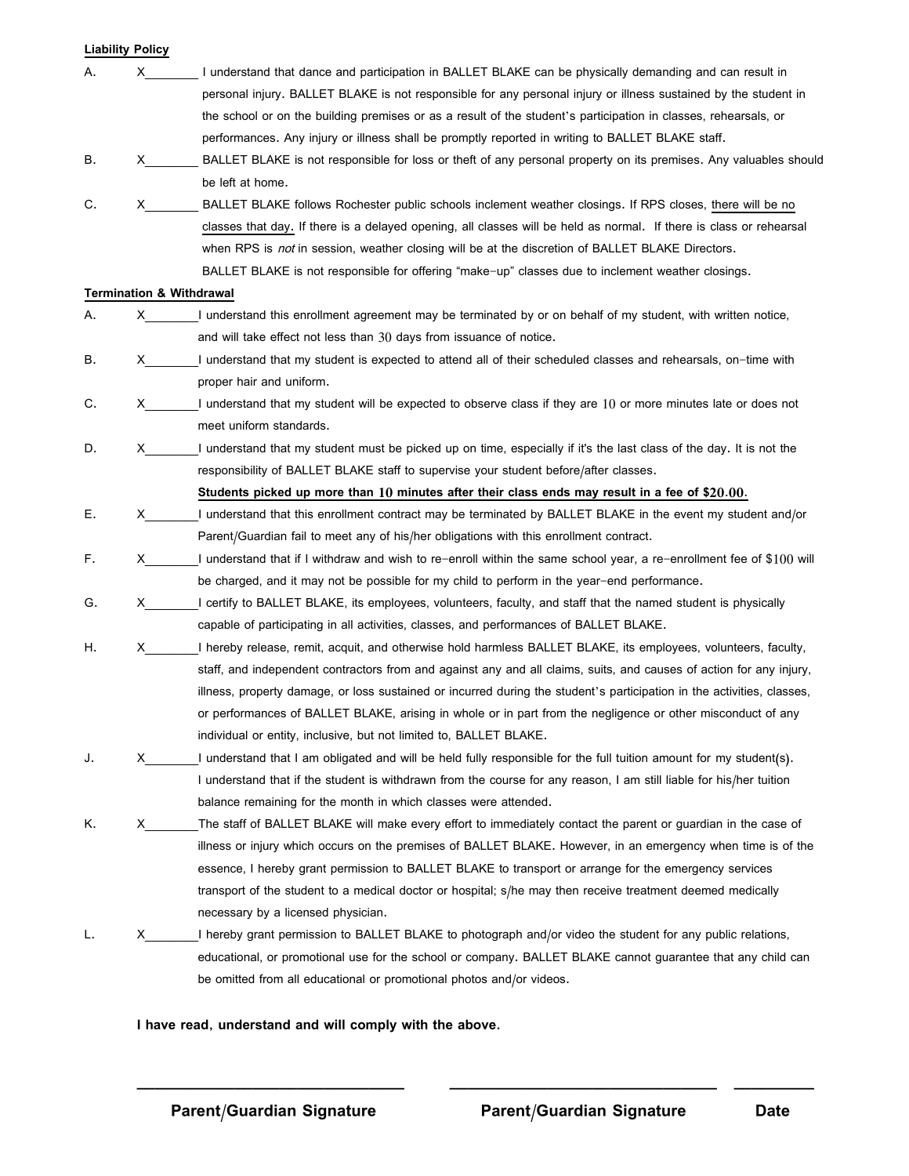|    | <b>Liability Policy</b>                                                                                                                                                                                                                                                                                                                                                                                                           |                                                                                                                        |
|----|-----------------------------------------------------------------------------------------------------------------------------------------------------------------------------------------------------------------------------------------------------------------------------------------------------------------------------------------------------------------------------------------------------------------------------------|------------------------------------------------------------------------------------------------------------------------|
| Α. | $\mathsf{X}$ and $\mathsf{X}$ and $\mathsf{X}$ and $\mathsf{X}$ are $\mathsf{X}$ and $\mathsf{X}$ and $\mathsf{X}$ are $\mathsf{X}$ and $\mathsf{X}$ are $\mathsf{X}$ and $\mathsf{X}$ are $\mathsf{X}$ and $\mathsf{X}$ are $\mathsf{X}$ and $\mathsf{X}$ are $\mathsf{X}$ and $\mathsf{X}$ are                                                                                                                                  | I understand that dance and participation in BALLET BLAKE can be physically demanding and can result in                |
|    |                                                                                                                                                                                                                                                                                                                                                                                                                                   | personal injury. BALLET BLAKE is not responsible for any personal injury or illness sustained by the student in        |
|    |                                                                                                                                                                                                                                                                                                                                                                                                                                   | the school or on the building premises or as a result of the student's participation in classes, rehearsals, or        |
|    |                                                                                                                                                                                                                                                                                                                                                                                                                                   | performances. Any injury or illness shall be promptly reported in writing to BALLET BLAKE staff.                       |
| В. | X.                                                                                                                                                                                                                                                                                                                                                                                                                                | BALLET BLAKE is not responsible for loss or theft of any personal property on its premises. Any valuables should       |
|    |                                                                                                                                                                                                                                                                                                                                                                                                                                   | be left at home.                                                                                                       |
| C. | X.                                                                                                                                                                                                                                                                                                                                                                                                                                | BALLET BLAKE follows Rochester public schools inclement weather closings. If RPS closes, there will be no              |
|    |                                                                                                                                                                                                                                                                                                                                                                                                                                   | classes that day. If there is a delayed opening, all classes will be held as normal. If there is class or rehearsal    |
|    |                                                                                                                                                                                                                                                                                                                                                                                                                                   | when RPS is <i>not</i> in session, weather closing will be at the discretion of BALLET BLAKE Directors.                |
|    |                                                                                                                                                                                                                                                                                                                                                                                                                                   | BALLET BLAKE is not responsible for offering "make-up" classes due to inclement weather closings.                      |
|    |                                                                                                                                                                                                                                                                                                                                                                                                                                   | <b>Termination &amp; Withdrawal</b>                                                                                    |
| Α. | X.                                                                                                                                                                                                                                                                                                                                                                                                                                | I understand this enrollment agreement may be terminated by or on behalf of my student, with written notice,           |
|    |                                                                                                                                                                                                                                                                                                                                                                                                                                   | and will take effect not less than 30 days from issuance of notice.                                                    |
| В. | X.                                                                                                                                                                                                                                                                                                                                                                                                                                | I understand that my student is expected to attend all of their scheduled classes and rehearsals, on-time with         |
|    |                                                                                                                                                                                                                                                                                                                                                                                                                                   | proper hair and uniform.                                                                                               |
| C. | X.                                                                                                                                                                                                                                                                                                                                                                                                                                | I understand that my student will be expected to observe class if they are 10 or more minutes late or does not         |
|    |                                                                                                                                                                                                                                                                                                                                                                                                                                   | meet uniform standards.                                                                                                |
| D. | $\mathsf{X}$ and $\mathsf{X}$ and $\mathsf{X}$ and $\mathsf{X}$ are $\mathsf{X}$ and $\mathsf{X}$ and $\mathsf{X}$ are $\mathsf{X}$ and $\mathsf{X}$ are $\mathsf{X}$ and $\mathsf{X}$ are $\mathsf{X}$ and $\mathsf{X}$ are $\mathsf{X}$ and $\mathsf{X}$ are $\mathsf{X}$ and $\mathsf{X}$ are                                                                                                                                  | I understand that my student must be picked up on time, especially if it's the last class of the day. It is not the    |
|    |                                                                                                                                                                                                                                                                                                                                                                                                                                   | responsibility of BALLET BLAKE staff to supervise your student before/after classes.                                   |
|    |                                                                                                                                                                                                                                                                                                                                                                                                                                   | Students picked up more than $10$ minutes after their class ends may result in a fee of \$20.00.                       |
| Е. | $\boldsymbol{\mathsf{X}}$ and $\boldsymbol{\mathsf{X}}$ and $\boldsymbol{\mathsf{X}}$ and $\boldsymbol{\mathsf{X}}$ and $\boldsymbol{\mathsf{X}}$ and $\boldsymbol{\mathsf{X}}$ and $\boldsymbol{\mathsf{X}}$ and $\boldsymbol{\mathsf{X}}$ and $\boldsymbol{\mathsf{X}}$ and $\boldsymbol{\mathsf{X}}$ and $\boldsymbol{\mathsf{X}}$ and $\boldsymbol{\mathsf{X}}$ and $\boldsymbol{\mathsf{X}}$ and $\boldsymbol{\mathsf{X}}$ a | I understand that this enrollment contract may be terminated by BALLET BLAKE in the event my student and/or            |
|    |                                                                                                                                                                                                                                                                                                                                                                                                                                   | Parent/Guardian fail to meet any of his/her obligations with this enrollment contract.                                 |
| F. | X —                                                                                                                                                                                                                                                                                                                                                                                                                               | I understand that if I withdraw and wish to re-enroll within the same school year, a re-enrollment fee of \$100 will   |
|    |                                                                                                                                                                                                                                                                                                                                                                                                                                   | be charged, and it may not be possible for my child to perform in the year-end performance.                            |
| G. | X.                                                                                                                                                                                                                                                                                                                                                                                                                                | I certify to BALLET BLAKE, its employees, volunteers, faculty, and staff that the named student is physically          |
|    |                                                                                                                                                                                                                                                                                                                                                                                                                                   | capable of participating in all activities, classes, and performances of BALLET BLAKE.                                 |
| Η. | $\boldsymbol{\mathsf{X}}$ and $\boldsymbol{\mathsf{X}}$ and $\boldsymbol{\mathsf{X}}$ and $\boldsymbol{\mathsf{X}}$ and $\boldsymbol{\mathsf{X}}$ and $\boldsymbol{\mathsf{X}}$ and $\boldsymbol{\mathsf{X}}$ and $\boldsymbol{\mathsf{X}}$ and $\boldsymbol{\mathsf{X}}$ and $\boldsymbol{\mathsf{X}}$ and $\boldsymbol{\mathsf{X}}$ and $\boldsymbol{\mathsf{X}}$ and $\boldsymbol{\mathsf{X}}$ and $\boldsymbol{\mathsf{X}}$ a | I hereby release, remit, acquit, and otherwise hold harmless BALLET BLAKE, its employees, volunteers, faculty,         |
|    |                                                                                                                                                                                                                                                                                                                                                                                                                                   | staff, and independent contractors from and against any and all claims, suits, and causes of action for any injury,    |
|    |                                                                                                                                                                                                                                                                                                                                                                                                                                   | illness, property damage, or loss sustained or incurred during the student's participation in the activities, classes, |
|    |                                                                                                                                                                                                                                                                                                                                                                                                                                   | or performances of BALLET BLAKE, arising in whole or in part from the negligence or other misconduct of any            |
|    |                                                                                                                                                                                                                                                                                                                                                                                                                                   | individual or entity, inclusive, but not limited to, BALLET BLAKE.                                                     |
| J. | х                                                                                                                                                                                                                                                                                                                                                                                                                                 | I understand that I am obligated and will be held fully responsible for the full tuition amount for my student(s).     |
|    |                                                                                                                                                                                                                                                                                                                                                                                                                                   | I understand that if the student is withdrawn from the course for any reason, I am still liable for his/her tuition    |
|    |                                                                                                                                                                                                                                                                                                                                                                                                                                   | balance remaining for the month in which classes were attended.                                                        |
| Κ. | X.                                                                                                                                                                                                                                                                                                                                                                                                                                | The staff of BALLET BLAKE will make every effort to immediately contact the parent or guardian in the case of          |
|    |                                                                                                                                                                                                                                                                                                                                                                                                                                   | illness or injury which occurs on the premises of BALLET BLAKE. However, in an emergency when time is of the           |
|    |                                                                                                                                                                                                                                                                                                                                                                                                                                   | essence, I hereby grant permission to BALLET BLAKE to transport or arrange for the emergency services                  |
|    |                                                                                                                                                                                                                                                                                                                                                                                                                                   | transport of the student to a medical doctor or hospital; s/he may then receive treatment deemed medically             |
|    |                                                                                                                                                                                                                                                                                                                                                                                                                                   | necessary by a licensed physician.                                                                                     |
|    | х                                                                                                                                                                                                                                                                                                                                                                                                                                 | I hereby grant permission to BALLET BLAKE to photograph and/or video the student for any public relations,             |
|    |                                                                                                                                                                                                                                                                                                                                                                                                                                   | educational, or promotional use for the school or company. BALLET BLAKE cannot guarantee that any child can            |
|    |                                                                                                                                                                                                                                                                                                                                                                                                                                   | be omitted from all educational or promotional photos and/or videos.                                                   |
|    |                                                                                                                                                                                                                                                                                                                                                                                                                                   |                                                                                                                        |

**I have read, understand and will comply with the above.**

**\_\_\_\_\_\_\_\_\_\_\_\_\_\_\_\_\_\_\_\_\_\_\_\_\_\_\_\_\_\_ \_\_\_\_\_\_\_\_\_\_\_\_\_\_\_\_\_\_\_\_\_\_\_\_\_\_\_\_\_\_ \_\_\_\_\_\_\_\_\_**